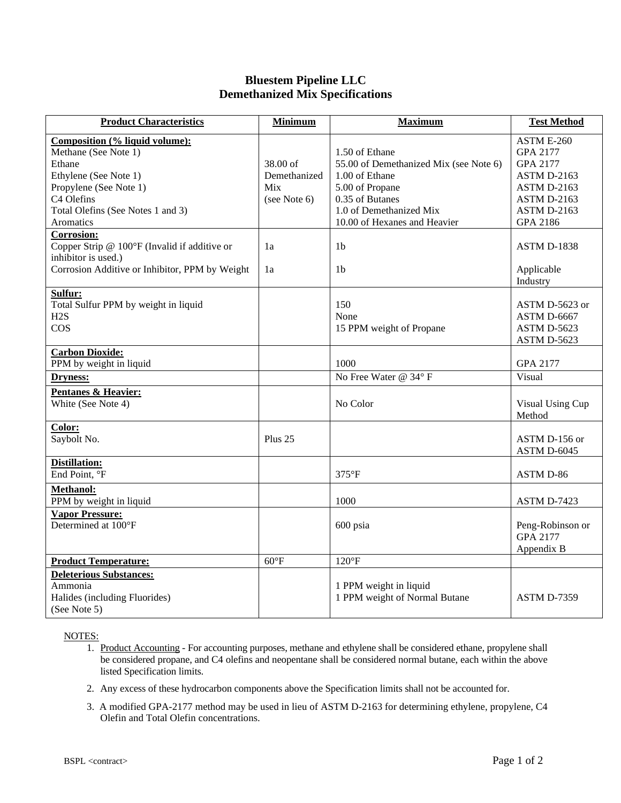## **Bluestem Pipeline LLC Demethanized Mix Specifications**

| <b>Product Characteristics</b>                                                                                                                                                      | <b>Minimum</b>                                    | <b>Maximum</b>                                                                                                                                                              | <b>Test Method</b>                                                                                                       |
|-------------------------------------------------------------------------------------------------------------------------------------------------------------------------------------|---------------------------------------------------|-----------------------------------------------------------------------------------------------------------------------------------------------------------------------------|--------------------------------------------------------------------------------------------------------------------------|
| Composition (% liquid volume):<br>Methane (See Note 1)<br>Ethane<br>Ethylene (See Note 1)<br>Propylene (See Note 1)<br>C4 Olefins<br>Total Olefins (See Notes 1 and 3)<br>Aromatics | $38.00$ of<br>Demethanized<br>Mix<br>(see Note 6) | 1.50 of Ethane<br>55.00 of Demethanized Mix (see Note 6)<br>1.00 of Ethane<br>5.00 of Propane<br>0.35 of Butanes<br>1.0 of Demethanized Mix<br>10.00 of Hexanes and Heavier | ASTM E-260<br>GPA 2177<br>GPA 2177<br>ASTM D-2163<br>ASTM D-2163<br><b>ASTM D-2163</b><br><b>ASTM D-2163</b><br>GPA 2186 |
| <b>Corrosion:</b><br>Copper Strip @ 100°F (Invalid if additive or<br>inhibitor is used.)<br>Corrosion Additive or Inhibitor, PPM by Weight                                          | 1a<br>1a                                          | 1 <sub>b</sub><br>1b                                                                                                                                                        | <b>ASTM D-1838</b><br>Applicable<br>Industry                                                                             |
| Sulfur:<br>Total Sulfur PPM by weight in liquid<br>H2S<br>$\cos$                                                                                                                    |                                                   | 150<br>None<br>15 PPM weight of Propane                                                                                                                                     | ASTM D-5623 or<br>ASTM D-6667<br>ASTM D-5623<br>ASTM D-5623                                                              |
| <b>Carbon Dioxide:</b><br>PPM by weight in liquid<br><b>Dryness:</b>                                                                                                                |                                                   | 1000<br>No Free Water @ 34° F                                                                                                                                               | GPA 2177<br>Visual                                                                                                       |
| <b>Pentanes &amp; Heavier:</b><br>White (See Note 4)                                                                                                                                |                                                   | No Color                                                                                                                                                                    | Visual Using Cup<br>Method                                                                                               |
| Color:<br>Saybolt No.                                                                                                                                                               | Plus 25                                           |                                                                                                                                                                             | ASTM D-156 or<br>ASTM D-6045                                                                                             |
| <b>Distillation:</b><br>End Point, <sup>o</sup> F                                                                                                                                   |                                                   | 375°F                                                                                                                                                                       | ASTM D-86                                                                                                                |
| <b>Methanol:</b><br>PPM by weight in liquid<br><b>Vapor Pressure:</b>                                                                                                               |                                                   | 1000                                                                                                                                                                        | <b>ASTM D-7423</b>                                                                                                       |
| Determined at 100°F                                                                                                                                                                 |                                                   | 600 psia                                                                                                                                                                    | Peng-Robinson or<br>GPA 2177<br>Appendix B                                                                               |
| <b>Product Temperature:</b>                                                                                                                                                         | $60^{\circ}$ F                                    | $120^{\circ}F$                                                                                                                                                              |                                                                                                                          |
| <b>Deleterious Substances:</b><br>Ammonia<br>Halides (including Fluorides)<br>(See Note 5)                                                                                          |                                                   | 1 PPM weight in liquid<br>1 PPM weight of Normal Butane                                                                                                                     | <b>ASTM D-7359</b>                                                                                                       |

NOTES:

- 1. Product Accounting For accounting purposes, methane and ethylene shall be considered ethane, propylene shall be considered propane, and C4 olefins and neopentane shall be considered normal butane, each within the above listed Specification limits.
- 2. Any excess of these hydrocarbon components above the Specification limits shall not be accounted for.
- 3. A modified GPA-2177 method may be used in lieu of ASTM D-2163 for determining ethylene, propylene, C4 Olefin and Total Olefin concentrations.